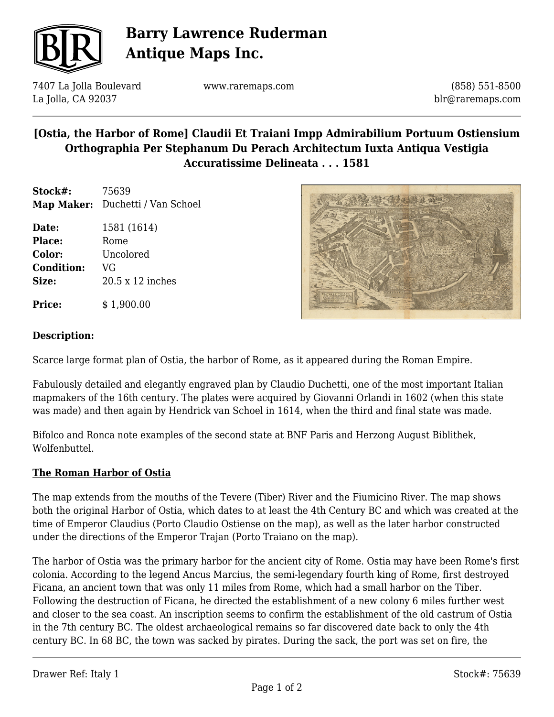

# **Barry Lawrence Ruderman Antique Maps Inc.**

7407 La Jolla Boulevard La Jolla, CA 92037

www.raremaps.com

(858) 551-8500 blr@raremaps.com

### **[Ostia, the Harbor of Rome] Claudii Et Traiani Impp Admirabilium Portuum Ostiensium Orthographia Per Stephanum Du Perach Architectum Iuxta Antiqua Vestigia Accuratissime Delineata . . . 1581**

**Stock#:** 75639 **Map Maker:** Duchetti / Van Schoel

**Date:** 1581 (1614) Place: Rome **Color:** Uncolored **Condition:** VG **Size:** 20.5 x 12 inches

**Price:**  $$ 1,900.00$ 



#### **Description:**

Scarce large format plan of Ostia, the harbor of Rome, as it appeared during the Roman Empire.

Fabulously detailed and elegantly engraved plan by Claudio Duchetti, one of the most important Italian mapmakers of the 16th century. The plates were acquired by Giovanni Orlandi in 1602 (when this state was made) and then again by Hendrick van Schoel in 1614, when the third and final state was made.

Bifolco and Ronca note examples of the second state at BNF Paris and Herzong August Biblithek, Wolfenbuttel.

#### **The Roman Harbor of Ostia**

The map extends from the mouths of the Tevere (Tiber) River and the Fiumicino River. The map shows both the original Harbor of Ostia, which dates to at least the 4th Century BC and which was created at the time of Emperor Claudius (Porto Claudio Ostiense on the map), as well as the later harbor constructed under the directions of the Emperor Trajan (Porto Traiano on the map).

The harbor of Ostia was the primary harbor for the ancient city of Rome. Ostia may have been Rome's first colonia. According to the legend Ancus Marcius, the semi-legendary fourth king of Rome, first destroyed Ficana, an ancient town that was only 11 miles from Rome, which had a small harbor on the Tiber. Following the destruction of Ficana, he directed the establishment of a new colony 6 miles further west and closer to the sea coast. An inscription seems to confirm the establishment of the old castrum of Ostia in the 7th century BC. The oldest archaeological remains so far discovered date back to only the 4th century BC. In 68 BC, the town was sacked by pirates. During the sack, the port was set on fire, the